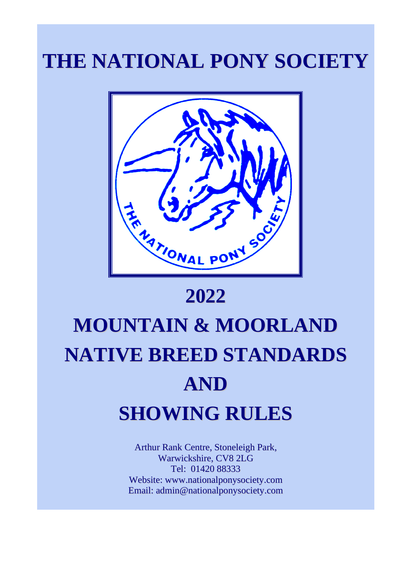## **THE NATIONAL PONY SOCIETY**



## **2022**

# **MOUNTAIN & MOORLAND NATIVE BREED STANDARDS AND SHOWING RULES**

Arthur Rank Centre, Stoneleigh Park, Warwickshire, CV8 2LG Tel: 01420 88333 Website: www.nationalponysociety.com Email: admin@nationalponysociety.com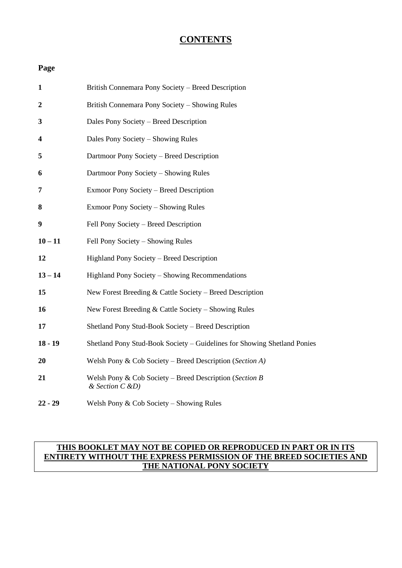#### **CONTENTS**

#### **Page**

| 1                | British Connemara Pony Society - Breed Description                           |
|------------------|------------------------------------------------------------------------------|
| $\boldsymbol{2}$ | British Connemara Pony Society - Showing Rules                               |
| 3                | Dales Pony Society – Breed Description                                       |
| 4                | Dales Pony Society – Showing Rules                                           |
| 5                | Dartmoor Pony Society – Breed Description                                    |
| 6                | Dartmoor Pony Society - Showing Rules                                        |
| 7                | Exmoor Pony Society – Breed Description                                      |
| 8                | Exmoor Pony Society - Showing Rules                                          |
| 9                | Fell Pony Society - Breed Description                                        |
| $10 - 11$        | Fell Pony Society - Showing Rules                                            |
| 12               | Highland Pony Society - Breed Description                                    |
| $13 - 14$        | Highland Pony Society - Showing Recommendations                              |
| 15               | New Forest Breeding & Cattle Society – Breed Description                     |
| 16               | New Forest Breeding & Cattle Society – Showing Rules                         |
| 17               | Shetland Pony Stud-Book Society – Breed Description                          |
| $18 - 19$        | Shetland Pony Stud-Book Society – Guidelines for Showing Shetland Ponies     |
| 20               | Welsh Pony & Cob Society – Breed Description (Section A)                     |
| 21               | Welsh Pony & Cob Society – Breed Description (Section B<br>$&$ Section $C&D$ |
| $22 - 29$        | Welsh Pony $& Cob$ Society – Showing Rules                                   |

### **THIS BOOKLET MAY NOT BE COPIED OR REPRODUCED IN PART OR IN ITS ENTIRETY WITHOUT THE EXPRESS PERMISSION OF THE BREED SOCIETIES AND THE NATIONAL PONY SOCIETY**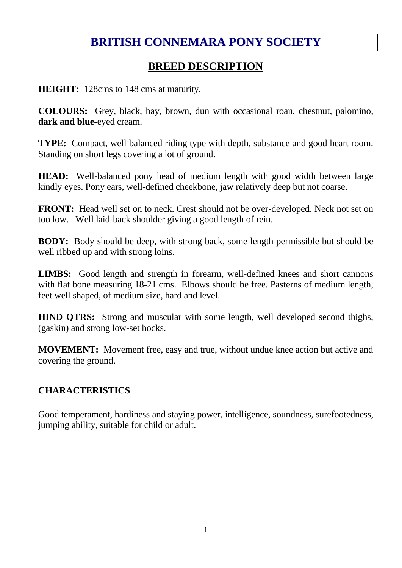### **BRITISH CONNEMARA PONY SOCIETY**

### **BREED DESCRIPTION**

**HEIGHT:** 128cms to 148 cms at maturity.

**COLOURS:** Grey, black, bay, brown, dun with occasional roan, chestnut, palomino, **dark and blue**-eyed cream.

**TYPE:** Compact, well balanced riding type with depth, substance and good heart room. Standing on short legs covering a lot of ground.

**HEAD:** Well-balanced pony head of medium length with good width between large kindly eyes. Pony ears, well-defined cheekbone, jaw relatively deep but not coarse.

**FRONT:** Head well set on to neck. Crest should not be over-developed. Neck not set on too low. Well laid-back shoulder giving a good length of rein.

**BODY:** Body should be deep, with strong back, some length permissible but should be well ribbed up and with strong loins.

**LIMBS:** Good length and strength in forearm, well-defined knees and short cannons with flat bone measuring 18-21 cms. Elbows should be free. Pasterns of medium length, feet well shaped, of medium size, hard and level.

**HIND QTRS:** Strong and muscular with some length, well developed second thighs, (gaskin) and strong low-set hocks.

**MOVEMENT:** Movement free, easy and true, without undue knee action but active and covering the ground.

### **CHARACTERISTICS**

Good temperament, hardiness and staying power, intelligence, soundness, surefootedness, jumping ability, suitable for child or adult.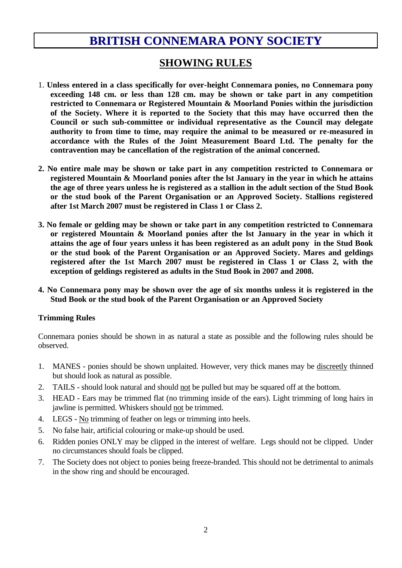### **BRITISH CONNEMARA PONY SOCIETY**

### **SHOWING RULES**

- 1. **Unless entered in a class specifically for over-height Connemara ponies, no Connemara pony exceeding 148 cm. or less than 128 cm. may be shown or take part in any competition restricted to Connemara or Registered Mountain & Moorland Ponies within the jurisdiction of the Society. Where it is reported to the Society that this may have occurred then the Council or such sub-committee or individual representative as the Council may delegate authority to from time to time, may require the animal to be measured or re-measured in accordance with the Rules of the Joint Measurement Board Ltd. The penalty for the contravention may be cancellation of the registration of the animal concerned.**
- **2. No entire male may be shown or take part in any competition restricted to Connemara or registered Mountain & Moorland ponies after the lst January in the year in which he attains the age of three years unless he is registered as a stallion in the adult section of the Stud Book or the stud book of the Parent Organisation or an Approved Society. Stallions registered after 1st March 2007 must be registered in Class 1 or Class 2.**
- **3. No female or gelding may be shown or take part in any competition restricted to Connemara or registered Mountain & Moorland ponies after the lst January in the year in which it attains the age of four years unless it has been registered as an adult pony in the Stud Book or the stud book of the Parent Organisation or an Approved Society. Mares and geldings registered after the 1st March 2007 must be registered in Class 1 or Class 2, with the exception of geldings registered as adults in the Stud Book in 2007 and 2008.**
- **4. No Connemara pony may be shown over the age of six months unless it is registered in the Stud Book or the stud book of the Parent Organisation or an Approved Society**

#### **Trimming Rules**

Connemara ponies should be shown in as natural a state as possible and the following rules should be observed.

- 1. MANES ponies should be shown unplaited. However, very thick manes may be discreetly thinned but should look as natural as possible.
- 2. TAILS should look natural and should not be pulled but may be squared off at the bottom.
- 3. HEAD Ears may be trimmed flat (no trimming inside of the ears). Light trimming of long hairs in jawline is permitted. Whiskers should not be trimmed.
- 4. LEGS No trimming of feather on legs or trimming into heels.
- 5. No false hair, artificial colouring or make-up should be used.
- 6. Ridden ponies ONLY may be clipped in the interest of welfare. Legs should not be clipped. Under no circumstances should foals be clipped.
- 7. The Society does not object to ponies being freeze-branded. This should not be detrimental to animals in the show ring and should be encouraged.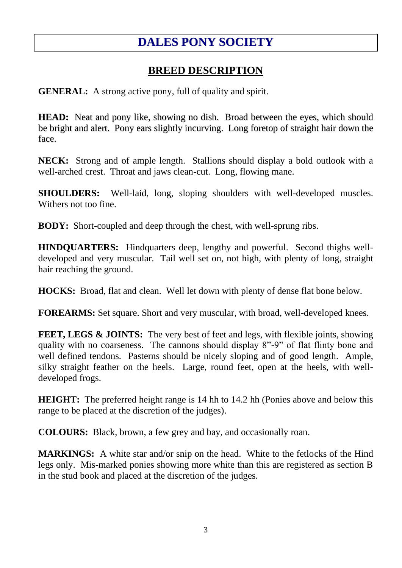### **DALES PONY SOCIETY**

### **BREED DESCRIPTION**

**GENERAL:** A strong active pony, full of quality and spirit.

**HEAD:** Neat and pony like, showing no dish. Broad between the eyes, which should be bright and alert. Pony ears slightly incurving. Long foretop of straight hair down the face.

**NECK:** Strong and of ample length. Stallions should display a bold outlook with a well-arched crest. Throat and jaws clean-cut. Long, flowing mane.

**SHOULDERS:** Well-laid, long, sloping shoulders with well-developed muscles. Withers not too fine.

**BODY:** Short-coupled and deep through the chest, with well-sprung ribs.

**HINDQUARTERS:** Hindquarters deep, lengthy and powerful. Second thighs welldeveloped and very muscular. Tail well set on, not high, with plenty of long, straight hair reaching the ground.

**HOCKS:** Broad, flat and clean. Well let down with plenty of dense flat bone below.

**FOREARMS:** Set square. Short and very muscular, with broad, well-developed knees.

**FEET, LEGS & JOINTS:** The very best of feet and legs, with flexible joints, showing quality with no coarseness. The cannons should display 8"-9" of flat flinty bone and well defined tendons. Pasterns should be nicely sloping and of good length. Ample, silky straight feather on the heels. Large, round feet, open at the heels, with welldeveloped frogs.

**HEIGHT:** The preferred height range is 14 hh to 14.2 hh (Ponies above and below this range to be placed at the discretion of the judges).

**COLOURS:** Black, brown, a few grey and bay, and occasionally roan.

**MARKINGS:** A white star and/or snip on the head. White to the fetlocks of the Hind legs only. Mis-marked ponies showing more white than this are registered as section B in the stud book and placed at the discretion of the judges.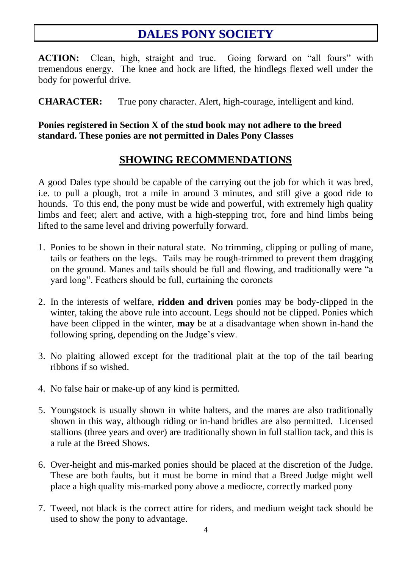### **DALES PONY SOCIETY**

**ACTION:** Clean, high, straight and true. Going forward on "all fours" with tremendous energy. The knee and hock are lifted, the hindlegs flexed well under the body for powerful drive.

**CHARACTER:** True pony character. Alert, high-courage, intelligent and kind.

#### **Ponies registered in Section X of the stud book may not adhere to the breed standard. These ponies are not permitted in Dales Pony Classes**

### **SHOWING RECOMMENDATIONS**

A good Dales type should be capable of the carrying out the job for which it was bred, i.e. to pull a plough, trot a mile in around 3 minutes, and still give a good ride to hounds. To this end, the pony must be wide and powerful, with extremely high quality limbs and feet; alert and active, with a high-stepping trot, fore and hind limbs being lifted to the same level and driving powerfully forward.

- 1. Ponies to be shown in their natural state. No trimming, clipping or pulling of mane, tails or feathers on the legs. Tails may be rough-trimmed to prevent them dragging on the ground. Manes and tails should be full and flowing, and traditionally were "a yard long". Feathers should be full, curtaining the coronets
- 2. In the interests of welfare, **ridden and driven** ponies may be body-clipped in the winter, taking the above rule into account. Legs should not be clipped. Ponies which have been clipped in the winter, **may** be at a disadvantage when shown in-hand the following spring, depending on the Judge's view.
- 3. No plaiting allowed except for the traditional plait at the top of the tail bearing ribbons if so wished.
- 4. No false hair or make-up of any kind is permitted.
- 5. Youngstock is usually shown in white halters, and the mares are also traditionally shown in this way, although riding or in-hand bridles are also permitted. Licensed stallions (three years and over) are traditionally shown in full stallion tack, and this is a rule at the Breed Shows.
- 6. Over-height and mis-marked ponies should be placed at the discretion of the Judge. These are both faults, but it must be borne in mind that a Breed Judge might well place a high quality mis-marked pony above a mediocre, correctly marked pony
- 7. Tweed, not black is the correct attire for riders, and medium weight tack should be used to show the pony to advantage.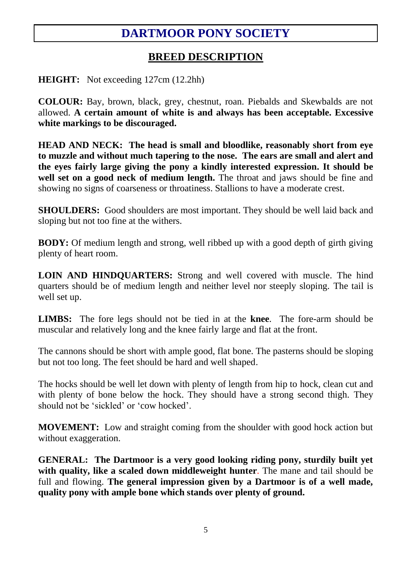### **DARTMOOR PONY SOCIETY**

### **BREED DESCRIPTION**

**HEIGHT:** Not exceeding 127cm (12.2hh)

**COLOUR:** Bay, brown, black, grey, chestnut, roan. Piebalds and Skewbalds are not allowed. **A certain amount of white is and always has been acceptable. Excessive white markings to be discouraged.**

**HEAD AND NECK: The head is small and bloodlike, reasonably short from eye to muzzle and without much tapering to the nose. The ears are small and alert and the eyes fairly large giving the pony a kindly interested expression. It should be well set on a good neck of medium length.** The throat and jaws should be fine and showing no signs of coarseness or throatiness. Stallions to have a moderate crest.

**SHOULDERS:** Good shoulders are most important. They should be well laid back and sloping but not too fine at the withers.

**BODY:** Of medium length and strong, well ribbed up with a good depth of girth giving plenty of heart room.

**LOIN AND HINDQUARTERS:** Strong and well covered with muscle. The hind quarters should be of medium length and neither level nor steeply sloping. The tail is well set up.

**LIMBS:** The fore legs should not be tied in at the **knee**. The fore-arm should be muscular and relatively long and the knee fairly large and flat at the front.

The cannons should be short with ample good, flat bone. The pasterns should be sloping but not too long. The feet should be hard and well shaped.

The hocks should be well let down with plenty of length from hip to hock, clean cut and with plenty of bone below the hock. They should have a strong second thigh. They should not be 'sickled' or 'cow hocked'.

**MOVEMENT:** Low and straight coming from the shoulder with good hock action but without exaggeration.

**GENERAL: The Dartmoor is a very good looking riding pony, sturdily built yet with quality, like a scaled down middleweight hunter**. The mane and tail should be full and flowing. **The general impression given by a Dartmoor is of a well made, quality pony with ample bone which stands over plenty of ground.**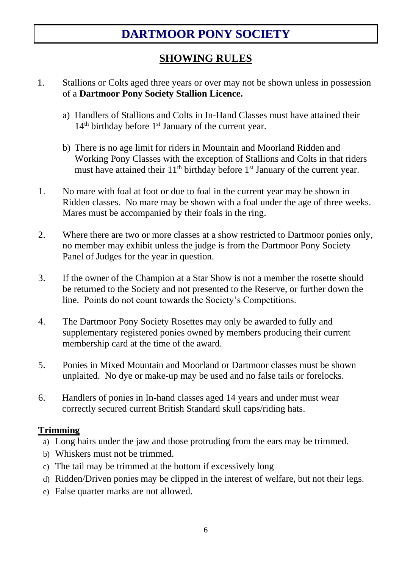### **DARTMOOR PONY SOCIETY**

### **SHOWING RULES**

- 1. Stallions or Colts aged three years or over may not be shown unless in possession of a **Dartmoor Pony Society Stallion Licence.**
	- a) Handlers of Stallions and Colts in In-Hand Classes must have attained their  $14<sup>th</sup>$  birthday before  $1<sup>st</sup>$  January of the current year.
	- b) There is no age limit for riders in Mountain and Moorland Ridden and Working Pony Classes with the exception of Stallions and Colts in that riders must have attained their  $11<sup>th</sup>$  birthday before  $1<sup>st</sup>$  January of the current year.
- 1. No mare with foal at foot or due to foal in the current year may be shown in Ridden classes. No mare may be shown with a foal under the age of three weeks. Mares must be accompanied by their foals in the ring.
- 2. Where there are two or more classes at a show restricted to Dartmoor ponies only, no member may exhibit unless the judge is from the Dartmoor Pony Society Panel of Judges for the year in question.
- 3. If the owner of the Champion at a Star Show is not a member the rosette should be returned to the Society and not presented to the Reserve, or further down the line. Points do not count towards the Society's Competitions.
- 4. The Dartmoor Pony Society Rosettes may only be awarded to fully and supplementary registered ponies owned by members producing their current membership card at the time of the award.
- 5. Ponies in Mixed Mountain and Moorland or Dartmoor classes must be shown unplaited. No dye or make-up may be used and no false tails or forelocks.
- 6. Handlers of ponies in In-hand classes aged 14 years and under must wear correctly secured current British Standard skull caps/riding hats.

### **Trimming**

- a) Long hairs under the jaw and those protruding from the ears may be trimmed.
- b) Whiskers must not be trimmed.
- c) The tail may be trimmed at the bottom if excessively long
- d) Ridden/Driven ponies may be clipped in the interest of welfare, but not their legs.
- e) False quarter marks are not allowed.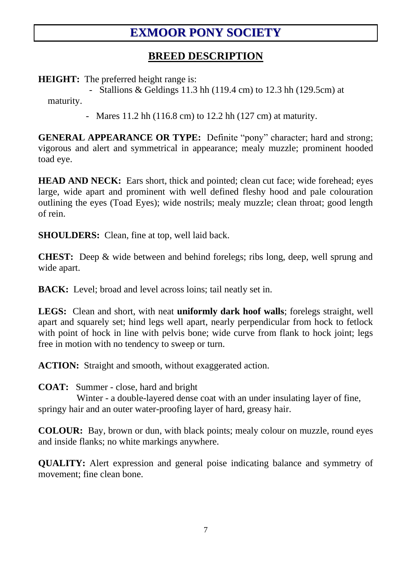### **EXMOOR PONY SOCIETY**

### **BREED DESCRIPTION**

**HEIGHT:** The preferred height range is:

- Stallions & Geldings 11.3 hh (119.4 cm) to 12.3 hh (129.5cm) at

maturity.

- Mares 11.2 hh (116.8 cm) to 12.2 hh (127 cm) at maturity.

**GENERAL APPEARANCE OR TYPE:** Definite "pony" character; hard and strong; vigorous and alert and symmetrical in appearance; mealy muzzle; prominent hooded toad eye.

**HEAD AND NECK:** Ears short, thick and pointed; clean cut face; wide forehead; eyes large, wide apart and prominent with well defined fleshy hood and pale colouration outlining the eyes (Toad Eyes); wide nostrils; mealy muzzle; clean throat; good length of rein.

**SHOULDERS:** Clean, fine at top, well laid back.

**CHEST:** Deep & wide between and behind forelegs; ribs long, deep, well sprung and wide apart.

**BACK:** Level; broad and level across loins; tail neatly set in.

**LEGS:** Clean and short, with neat **uniformly dark hoof walls**; forelegs straight, well apart and squarely set; hind legs well apart, nearly perpendicular from hock to fetlock with point of hock in line with pelvis bone; wide curve from flank to hock joint; legs free in motion with no tendency to sweep or turn.

**ACTION:** Straight and smooth, without exaggerated action.

**COAT:** Summer - close, hard and bright

 Winter - a double-layered dense coat with an under insulating layer of fine, springy hair and an outer water-proofing layer of hard, greasy hair.

**COLOUR:** Bay, brown or dun, with black points; mealy colour on muzzle, round eyes and inside flanks; no white markings anywhere.

**QUALITY:** Alert expression and general poise indicating balance and symmetry of movement; fine clean bone.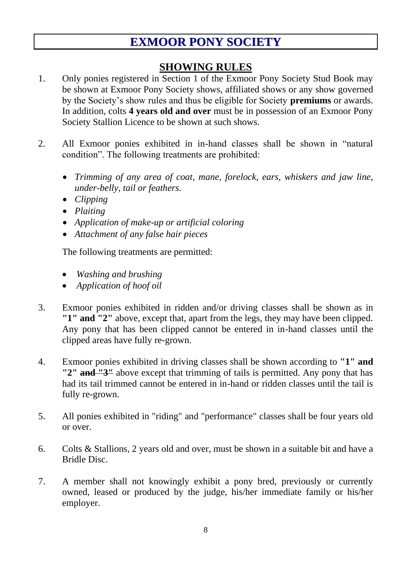### **EXMOOR PONY SOCIETY**

### **SHOWING RULES**

- 1. Only ponies registered in Section 1 of the Exmoor Pony Society Stud Book may be shown at Exmoor Pony Society shows, affiliated shows or any show governed by the Society's show rules and thus be eligible for Society **premiums** or awards. In addition, colts **4 years old and over** must be in possession of an Exmoor Pony Society Stallion Licence to be shown at such shows.
- 2. All Exmoor ponies exhibited in in-hand classes shall be shown in "natural condition". The following treatments are prohibited:
	- *Trimming of any area of coat, mane, forelock, ears, whiskers and jaw line, under-belly, tail or feathers.*
	- *Clipping*
	- *Plaiting*
	- *Application of make-up or artificial coloring*
	- *Attachment of any false hair pieces*

The following treatments are permitted:

- *Washing and brushing*
- *Application of hoof oil*
- 3. Exmoor ponies exhibited in ridden and/or driving classes shall be shown as in **"1" and "2"** above, except that, apart from the legs, they may have been clipped. Any pony that has been clipped cannot be entered in in-hand classes until the clipped areas have fully re-grown.
- 4. Exmoor ponies exhibited in driving classes shall be shown according to **"1" and "2" and "3"** above except that trimming of tails is permitted. Any pony that has had its tail trimmed cannot be entered in in-hand or ridden classes until the tail is fully re-grown.
- 5. All ponies exhibited in "riding" and "performance" classes shall be four years old or over.
- 6. Colts & Stallions, 2 years old and over, must be shown in a suitable bit and have a Bridle Disc.
- 7. A member shall not knowingly exhibit a pony bred, previously or currently owned, leased or produced by the judge, his/her immediate family or his/her employer.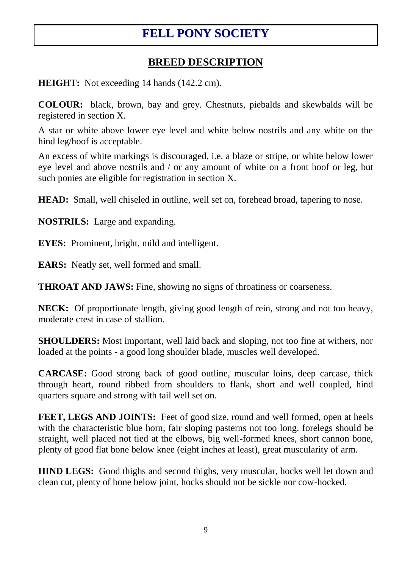## **FELL PONY SOCIETY**

### **BREED DESCRIPTION**

**HEIGHT:** Not exceeding 14 hands (142.2 cm).

**COLOUR:** black, brown, bay and grey. Chestnuts, piebalds and skewbalds will be registered in section X.

A star or white above lower eye level and white below nostrils and any white on the hind leg/hoof is acceptable.

An excess of white markings is discouraged, i.e. a blaze or stripe, or white below lower eye level and above nostrils and / or any amount of white on a front hoof or leg, but such ponies are eligible for registration in section X.

**HEAD:** Small, well chiseled in outline, well set on, forehead broad, tapering to nose.

**NOSTRILS:** Large and expanding.

**EYES:** Prominent, bright, mild and intelligent.

**EARS:** Neatly set, well formed and small.

**THROAT AND JAWS:** Fine, showing no signs of throatiness or coarseness.

**NECK:** Of proportionate length, giving good length of rein, strong and not too heavy, moderate crest in case of stallion.

**SHOULDERS:** Most important, well laid back and sloping, not too fine at withers, nor loaded at the points - a good long shoulder blade, muscles well developed.

**CARCASE:** Good strong back of good outline, muscular loins, deep carcase, thick through heart, round ribbed from shoulders to flank, short and well coupled, hind quarters square and strong with tail well set on.

**FEET, LEGS AND JOINTS:** Feet of good size, round and well formed, open at heels with the characteristic blue horn, fair sloping pasterns not too long, forelegs should be straight, well placed not tied at the elbows, big well-formed knees, short cannon bone, plenty of good flat bone below knee (eight inches at least), great muscularity of arm.

**HIND LEGS:** Good thighs and second thighs, very muscular, hocks well let down and clean cut, plenty of bone below joint, hocks should not be sickle nor cow-hocked.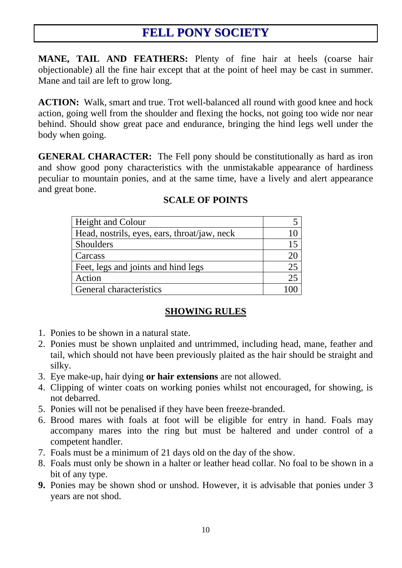## **FELL PONY SOCIETY**

**MANE, TAIL AND FEATHERS:** Plenty of fine hair at heels (coarse hair objectionable) all the fine hair except that at the point of heel may be cast in summer. Mane and tail are left to grow long.

**ACTION:** Walk, smart and true. Trot well-balanced all round with good knee and hock action, going well from the shoulder and flexing the hocks, not going too wide nor near behind. Should show great pace and endurance, bringing the hind legs well under the body when going.

**GENERAL CHARACTER:** The Fell pony should be constitutionally as hard as iron and show good pony characteristics with the unmistakable appearance of hardiness peculiar to mountain ponies, and at the same time, have a lively and alert appearance and great bone.

| Height and Colour                            |    |
|----------------------------------------------|----|
| Head, nostrils, eyes, ears, throat/jaw, neck |    |
| Shoulders                                    |    |
| Carcass                                      |    |
| Feet, legs and joints and hind legs          | 25 |
| Action                                       | 25 |
| General characteristics                      |    |

### **SCALE OF POINTS**

### **SHOWING RULES**

- 1. Ponies to be shown in a natural state.
- 2. Ponies must be shown unplaited and untrimmed, including head, mane, feather and tail, which should not have been previously plaited as the hair should be straight and silky.
- 3. Eye make-up, hair dying **or hair extensions** are not allowed.
- 4. Clipping of winter coats on working ponies whilst not encouraged, for showing, is not debarred.
- 5. Ponies will not be penalised if they have been freeze-branded.
- 6. Brood mares with foals at foot will be eligible for entry in hand. Foals may accompany mares into the ring but must be haltered and under control of a competent handler.
- 7. Foals must be a minimum of 21 days old on the day of the show.
- 8. Foals must only be shown in a halter or leather head collar. No foal to be shown in a bit of any type.
- **9.** Ponies may be shown shod or unshod. However, it is advisable that ponies under 3 years are not shod.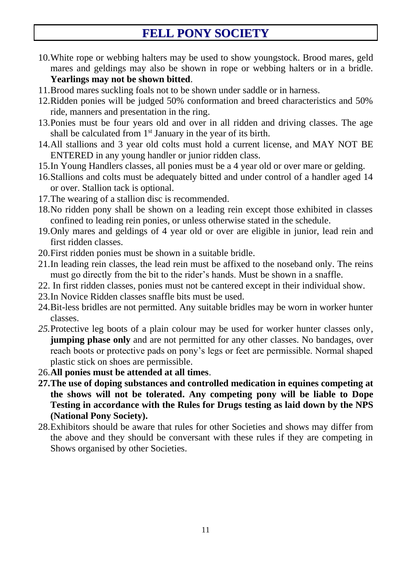### **FELL PONY SOCIETY**

- 10.White rope or webbing halters may be used to show youngstock. Brood mares, geld mares and geldings may also be shown in rope or webbing halters or in a bridle. **Yearlings may not be shown bitted**.
- 11.Brood mares suckling foals not to be shown under saddle or in harness.
- 12.Ridden ponies will be judged 50% conformation and breed characteristics and 50% ride, manners and presentation in the ring.
- 13.Ponies must be four years old and over in all ridden and driving classes. The age shall be calculated from  $1<sup>st</sup>$  January in the year of its birth.
- 14.All stallions and 3 year old colts must hold a current license, and MAY NOT BE ENTERED in any young handler or junior ridden class.
- 15.In Young Handlers classes, all ponies must be a 4 year old or over mare or gelding.
- 16.Stallions and colts must be adequately bitted and under control of a handler aged 14 or over. Stallion tack is optional.
- 17.The wearing of a stallion disc is recommended.
- 18.No ridden pony shall be shown on a leading rein except those exhibited in classes confined to leading rein ponies, or unless otherwise stated in the schedule.
- 19.Only mares and geldings of 4 year old or over are eligible in junior, lead rein and first ridden classes.
- 20.First ridden ponies must be shown in a suitable bridle.
- 21.In leading rein classes, the lead rein must be affixed to the noseband only. The reins must go directly from the bit to the rider's hands. Must be shown in a snaffle.
- 22. In first ridden classes, ponies must not be cantered except in their individual show.
- 23.In Novice Ridden classes snaffle bits must be used.
- 24.Bit-less bridles are not permitted. Any suitable bridles may be worn in worker hunter classes.
- *25.*Protective leg boots of a plain colour may be used for worker hunter classes only, **jumping phase only** and are not permitted for any other classes. No bandages, over reach boots or protective pads on pony's legs or feet are permissible. Normal shaped plastic stick on shoes are permissible.
- 26.**All ponies must be attended at all times**.
- **27.The use of doping substances and controlled medication in equines competing at the shows will not be tolerated. Any competing pony will be liable to Dope Testing in accordance with the Rules for Drugs testing as laid down by the NPS (National Pony Society).**
- 28.Exhibitors should be aware that rules for other Societies and shows may differ from the above and they should be conversant with these rules if they are competing in Shows organised by other Societies.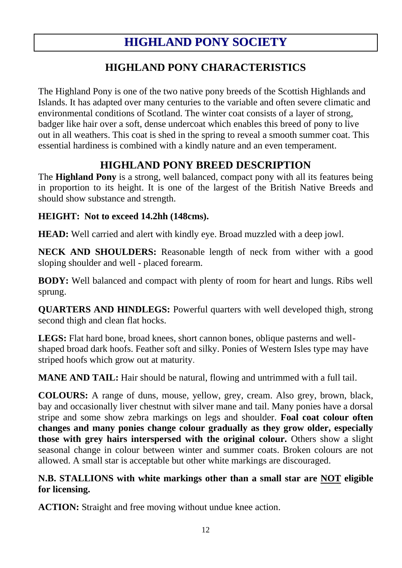### **HIGHLAND PONY SOCIETY**

### **HIGHLAND PONY CHARACTERISTICS**

The Highland Pony is one of the two native pony breeds of the Scottish Highlands and Islands. It has adapted over many centuries to the variable and often severe climatic and environmental conditions of Scotland. The winter coat consists of a layer of strong, badger like hair over a soft, dense undercoat which enables this breed of pony to live out in all weathers. This coat is shed in the spring to reveal a smooth summer coat. This essential hardiness is combined with a kindly nature and an even temperament.

### **HIGHLAND PONY BREED DESCRIPTION**

The **Highland Pony** is a strong, well balanced, compact pony with all its features being in proportion to its height. It is one of the largest of the British Native Breeds and should show substance and strength.

### **HEIGHT: Not to exceed 14.2hh (148cms).**

**HEAD:** Well carried and alert with kindly eye. Broad muzzled with a deep jowl.

**NECK AND SHOULDERS:** Reasonable length of neck from wither with a good sloping shoulder and well - placed forearm.

**BODY:** Well balanced and compact with plenty of room for heart and lungs. Ribs well sprung.

**QUARTERS AND HINDLEGS:** Powerful quarters with well developed thigh, strong second thigh and clean flat hocks.

**LEGS:** Flat hard bone, broad knees, short cannon bones, oblique pasterns and wellshaped broad dark hoofs. Feather soft and silky. Ponies of Western Isles type may have striped hoofs which grow out at maturity.

**MANE AND TAIL:** Hair should be natural, flowing and untrimmed with a full tail.

**COLOURS:** A range of duns, mouse, yellow, grey, cream. Also grey, brown, black, bay and occasionally liver chestnut with silver mane and tail. Many ponies have a dorsal stripe and some show zebra markings on legs and shoulder. **Foal coat colour often changes and many ponies change colour gradually as they grow older, especially those with grey hairs interspersed with the original colour.** Others show a slight seasonal change in colour between winter and summer coats. Broken colours are not allowed. A small star is acceptable but other white markings are discouraged.

### **N.B. STALLIONS with white markings other than a small star are NOT eligible for licensing.**

**ACTION:** Straight and free moving without undue knee action.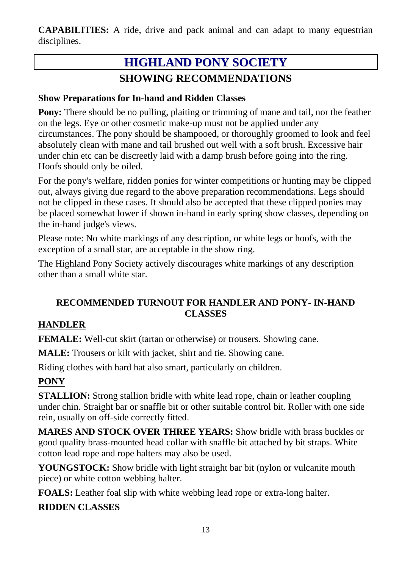**CAPABILITIES:** A ride, drive and pack animal and can adapt to many equestrian disciplines.

### **HIGHLAND PONY SOCIETY SHOWING RECOMMENDATIONS**

#### **Show Preparations for In-hand and Ridden Classes**

**Pony:** There should be no pulling, plaiting or trimming of mane and tail, nor the feather on the legs. Eye or other cosmetic make-up must not be applied under any circumstances. The pony should be shampooed, or thoroughly groomed to look and feel absolutely clean with mane and tail brushed out well with a soft brush. Excessive hair under chin etc can be discreetly laid with a damp brush before going into the ring. Hoofs should only be oiled.

For the pony's welfare, ridden ponies for winter competitions or hunting may be clipped out, always giving due regard to the above preparation recommendations. Legs should not be clipped in these cases. It should also be accepted that these clipped ponies may be placed somewhat lower if shown in-hand in early spring show classes, depending on the in-hand judge's views.

Please note: No white markings of any description, or white legs or hoofs, with the exception of a small star, are acceptable in the show ring.

The Highland Pony Society actively discourages white markings of any description other than a small white star.

### **RECOMMENDED TURNOUT FOR HANDLER AND PONY- IN-HAND CLASSES**

### **HANDLER**

**FEMALE:** Well-cut skirt (tartan or otherwise) or trousers. Showing cane.

**MALE:** Trousers or kilt with jacket, shirt and tie. Showing cane.

Riding clothes with hard hat also smart, particularly on children.

### **PONY**

**STALLION:** Strong stallion bridle with white lead rope, chain or leather coupling under chin. Straight bar or snaffle bit or other suitable control bit. Roller with one side rein, usually on off-side correctly fitted.

**MARES AND STOCK OVER THREE YEARS:** Show bridle with brass buckles or good quality brass-mounted head collar with snaffle bit attached by bit straps. White cotton lead rope and rope halters may also be used.

**YOUNGSTOCK:** Show bridle with light straight bar bit (nylon or vulcanite mouth piece) or white cotton webbing halter.

**FOALS:** Leather foal slip with white webbing lead rope or extra-long halter.

### **RIDDEN CLASSES**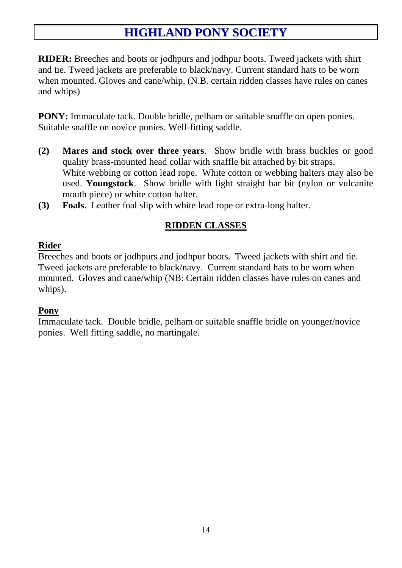### **HIGHLAND PONY SOCIETY**

**RIDER:** Breeches and boots or jodhpurs and jodhpur boots. Tweed jackets with shirt and tie. Tweed jackets are preferable to black/navy. Current standard hats to be worn when mounted. Gloves and cane/whip. (N.B. certain ridden classes have rules on canes and whips)

**PONY:** Immaculate tack. Double bridle, pelham or suitable snaffle on open ponies. Suitable snaffle on novice ponies. Well-fitting saddle.

- **(2) Mares and stock over three years**. Show bridle with brass buckles or good quality brass-mounted head collar with snaffle bit attached by bit straps. White webbing or cotton lead rope. White cotton or webbing halters may also be used. **Youngstock**. Show bridle with light straight bar bit (nylon or vulcanite mouth piece) or white cotton halter.
- **(3) Foals**. Leather foal slip with white lead rope or extra-long halter.

### **RIDDEN CLASSES**

#### **Rider**

Breeches and boots or jodhpurs and jodhpur boots. Tweed jackets with shirt and tie. Tweed jackets are preferable to black/navy. Current standard hats to be worn when mounted. Gloves and cane/whip (NB: Certain ridden classes have rules on canes and whips).

#### **Pony**

Immaculate tack. Double bridle, pelham or suitable snaffle bridle on younger/novice ponies. Well fitting saddle, no martingale.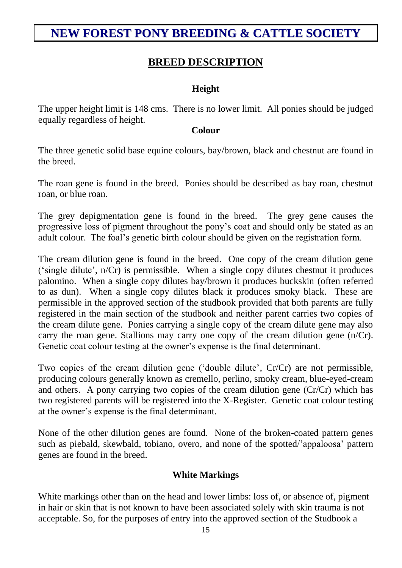### **NEW FOREST PONY BREEDING & CATTLE SOCIETY**

### **BREED DESCRIPTION**

#### **Height**

The upper height limit is 148 cms. There is no lower limit. All ponies should be judged equally regardless of height.

#### **Colour**

The three genetic solid base equine colours, bay/brown, black and chestnut are found in the breed.

The roan gene is found in the breed. Ponies should be described as bay roan, chestnut roan, or blue roan.

The grey depigmentation gene is found in the breed. The grey gene causes the progressive loss of pigment throughout the pony's coat and should only be stated as an adult colour. The foal's genetic birth colour should be given on the registration form.

The cream dilution gene is found in the breed. One copy of the cream dilution gene ('single dilute', n/Cr) is permissible. When a single copy dilutes chestnut it produces palomino. When a single copy dilutes bay/brown it produces buckskin (often referred to as dun). When a single copy dilutes black it produces smoky black. These are permissible in the approved section of the studbook provided that both parents are fully registered in the main section of the studbook and neither parent carries two copies of the cream dilute gene. Ponies carrying a single copy of the cream dilute gene may also carry the roan gene. Stallions may carry one copy of the cream dilution gene (n/Cr). Genetic coat colour testing at the owner's expense is the final determinant.

Two copies of the cream dilution gene ('double dilute', Cr/Cr) are not permissible, producing colours generally known as cremello, perlino, smoky cream, blue-eyed-cream and others. A pony carrying two copies of the cream dilution gene (Cr/Cr) which has two registered parents will be registered into the X-Register. Genetic coat colour testing at the owner's expense is the final determinant.

None of the other dilution genes are found. None of the broken-coated pattern genes such as piebald, skewbald, tobiano, overo, and none of the spotted/'appaloosa' pattern genes are found in the breed.

#### **White Markings**

White markings other than on the head and lower limbs: loss of, or absence of, pigment in hair or skin that is not known to have been associated solely with skin trauma is not acceptable. So, for the purposes of entry into the approved section of the Studbook a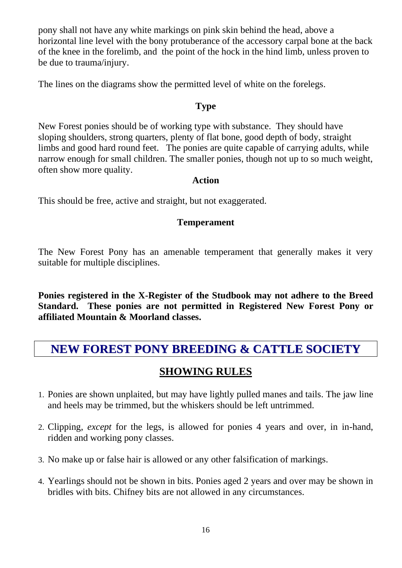pony shall not have any white markings on pink skin behind the head, above a horizontal line level with the bony protuberance of the accessory carpal bone at the back of the knee in the forelimb, and the point of the hock in the hind limb, unless proven to be due to trauma/injury.

The lines on the diagrams show the permitted level of white on the forelegs.

### **Type**

New Forest ponies should be of working type with substance. They should have sloping shoulders, strong quarters, plenty of flat bone, good depth of body, straight limbs and good hard round feet. The ponies are quite capable of carrying adults, while narrow enough for small children. The smaller ponies, though not up to so much weight, often show more quality.

#### **Action**

This should be free, active and straight, but not exaggerated.

### **Temperament**

The New Forest Pony has an amenable temperament that generally makes it very suitable for multiple disciplines.

**Ponies registered in the X-Register of the Studbook may not adhere to the Breed Standard. These ponies are not permitted in Registered New Forest Pony or affiliated Mountain & Moorland classes.** 

### **NEW FOREST PONY BREEDING & CATTLE SOCIETY**

### **SHOWING RULES**

- 1. Ponies are shown unplaited, but may have lightly pulled manes and tails. The jaw line and heels may be trimmed, but the whiskers should be left untrimmed.
- 2. Clipping, *except* for the legs, is allowed for ponies 4 years and over, in in-hand, ridden and working pony classes.
- 3. No make up or false hair is allowed or any other falsification of markings.
- 4. Yearlings should not be shown in bits. Ponies aged 2 years and over may be shown in bridles with bits. Chifney bits are not allowed in any circumstances.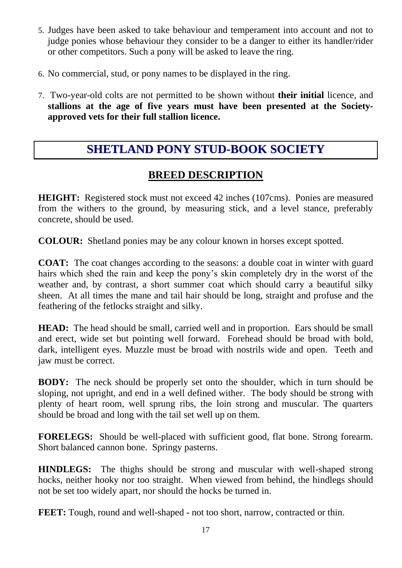- 5. Judges have been asked to take behaviour and temperament into account and not to judge ponies whose behaviour they consider to be a danger to either its handler/rider or other competitors. Such a pony will be asked to leave the ring.
- 6. No commercial, stud, or pony names to be displayed in the ring.
- 7. Two-year-old colts are not permitted to be shown without **their initial** licence, and **stallions at the age of five years must have been presented at the Societyapproved vets for their full stallion licence.**

### **SHETLAND PONY STUD-BOOK SOCIETY**

### **BREED DESCRIPTION**

**HEIGHT:** Registered stock must not exceed 42 inches (107cms). Ponies are measured from the withers to the ground, by measuring stick, and a level stance, preferably concrete, should be used.

**COLOUR:** Shetland ponies may be any colour known in horses except spotted.

**COAT:** The coat changes according to the seasons: a double coat in winter with guard hairs which shed the rain and keep the pony's skin completely dry in the worst of the weather and, by contrast, a short summer coat which should carry a beautiful silky sheen. At all times the mane and tail hair should be long, straight and profuse and the feathering of the fetlocks straight and silky.

**HEAD:** The head should be small, carried well and in proportion. Ears should be small and erect, wide set but pointing well forward. Forehead should be broad with bold, dark, intelligent eyes. Muzzle must be broad with nostrils wide and open. Teeth and jaw must be correct.

**BODY:** The neck should be properly set onto the shoulder, which in turn should be sloping, not upright, and end in a well defined wither. The body should be strong with plenty of heart room, well sprung ribs, the loin strong and muscular. The quarters should be broad and long with the tail set well up on them.

**FORELEGS:** Should be well-placed with sufficient good, flat bone. Strong forearm. Short balanced cannon bone. Springy pasterns.

**HINDLEGS:** The thighs should be strong and muscular with well-shaped strong hocks, neither hooky nor too straight. When viewed from behind, the hindlegs should not be set too widely apart, nor should the hocks be turned in.

**FEET:** Tough, round and well-shaped - not too short, narrow, contracted or thin.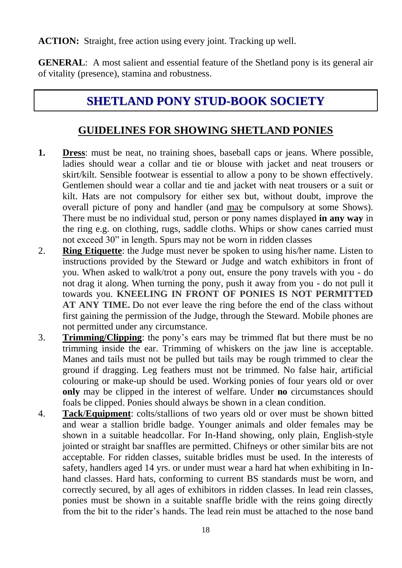**ACTION:** Straight, free action using every joint. Tracking up well.

**GENERAL**: A most salient and essential feature of the Shetland pony is its general air of vitality (presence), stamina and robustness.

### **SHETLAND PONY STUD-BOOK SOCIETY**

### **GUIDELINES FOR SHOWING SHETLAND PONIES**

- **1. Dress**: must be neat, no training shoes, baseball caps or jeans. Where possible, ladies should wear a collar and tie or blouse with jacket and neat trousers or skirt/kilt. Sensible footwear is essential to allow a pony to be shown effectively. Gentlemen should wear a collar and tie and jacket with neat trousers or a suit or kilt. Hats are not compulsory for either sex but, without doubt, improve the overall picture of pony and handler (and may be compulsory at some Shows). There must be no individual stud, person or pony names displayed **in any way** in the ring e.g. on clothing, rugs, saddle cloths. Whips or show canes carried must not exceed 30" in length. Spurs may not be worn in ridden classes
- 2. **Ring Etiquette**: the Judge must never be spoken to using his/her name. Listen to instructions provided by the Steward or Judge and watch exhibitors in front of you. When asked to walk/trot a pony out, ensure the pony travels with you - do not drag it along. When turning the pony, push it away from you - do not pull it towards you. **KNEELING IN FRONT OF PONIES IS NOT PERMITTED AT ANY TIME.** Do not ever leave the ring before the end of the class without first gaining the permission of the Judge, through the Steward. Mobile phones are not permitted under any circumstance.
- 3. **Trimming/Clipping**: the pony's ears may be trimmed flat but there must be no trimming inside the ear. Trimming of whiskers on the jaw line is acceptable. Manes and tails must not be pulled but tails may be rough trimmed to clear the ground if dragging. Leg feathers must not be trimmed. No false hair, artificial colouring or make-up should be used. Working ponies of four years old or over **only** may be clipped in the interest of welfare. Under **no** circumstances should foals be clipped. Ponies should always be shown in a clean condition.
- 4. **Tack**/**Equipment**: colts/stallions of two years old or over must be shown bitted and wear a stallion bridle badge. Younger animals and older females may be shown in a suitable headcollar. For In-Hand showing, only plain, English-style jointed or straight bar snaffles are permitted. Chifneys or other similar bits are not acceptable. For ridden classes, suitable bridles must be used. In the interests of safety, handlers aged 14 yrs. or under must wear a hard hat when exhibiting in Inhand classes. Hard hats, conforming to current BS standards must be worn, and correctly secured, by all ages of exhibitors in ridden classes. In lead rein classes, ponies must be shown in a suitable snaffle bridle with the reins going directly from the bit to the rider's hands. The lead rein must be attached to the nose band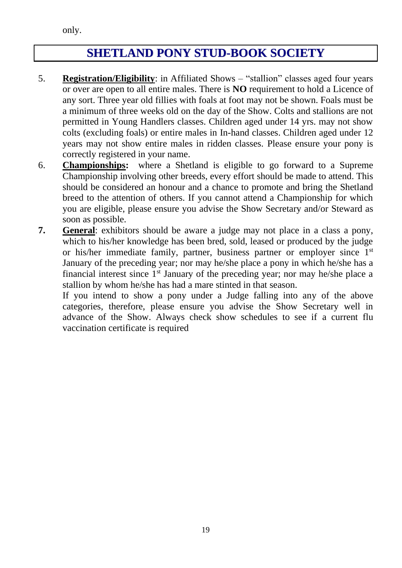only.

### **SHETLAND PONY STUD-BOOK SOCIETY**

- 5. **Registration/Eligibility**: in Affiliated Shows "stallion" classes aged four years or over are open to all entire males. There is **NO** requirement to hold a Licence of any sort. Three year old fillies with foals at foot may not be shown. Foals must be a minimum of three weeks old on the day of the Show. Colts and stallions are not permitted in Young Handlers classes. Children aged under 14 yrs. may not show colts (excluding foals) or entire males in In-hand classes. Children aged under 12 years may not show entire males in ridden classes. Please ensure your pony is correctly registered in your name.
- 6. **Championships:** where a Shetland is eligible to go forward to a Supreme Championship involving other breeds, every effort should be made to attend. This should be considered an honour and a chance to promote and bring the Shetland breed to the attention of others. If you cannot attend a Championship for which you are eligible, please ensure you advise the Show Secretary and/or Steward as soon as possible.
- **7. General**: exhibitors should be aware a judge may not place in a class a pony, which to his/her knowledge has been bred, sold, leased or produced by the judge or his/her immediate family, partner, business partner or employer since 1<sup>st</sup> January of the preceding year; nor may he/she place a pony in which he/she has a financial interest since  $1<sup>st</sup>$  January of the preceding year; nor may he/she place a stallion by whom he/she has had a mare stinted in that season.

If you intend to show a pony under a Judge falling into any of the above categories, therefore, please ensure you advise the Show Secretary well in advance of the Show. Always check show schedules to see if a current flu vaccination certificate is required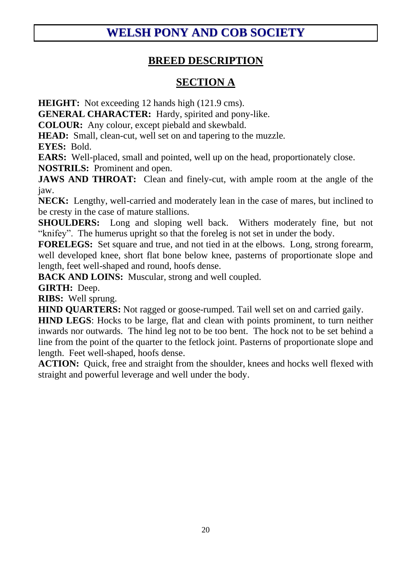### **BREED DESCRIPTION**

### **SECTION A**

**HEIGHT:** Not exceeding 12 hands high (121.9 cms).

**GENERAL CHARACTER:** Hardy, spirited and pony-like.

**COLOUR:** Any colour, except piebald and skewbald.

**HEAD:** Small, clean-cut, well set on and tapering to the muzzle.

**EYES:** Bold.

**EARS:** Well-placed, small and pointed, well up on the head, proportionately close.

**NOSTRILS:** Prominent and open.

**JAWS AND THROAT:** Clean and finely-cut, with ample room at the angle of the jaw.

**NECK:** Lengthy, well-carried and moderately lean in the case of mares, but inclined to be cresty in the case of mature stallions.

**SHOULDERS:** Long and sloping well back. Withers moderately fine, but not "knifey". The humerus upright so that the foreleg is not set in under the body.

**FORELEGS:** Set square and true, and not tied in at the elbows. Long, strong forearm, well developed knee, short flat bone below knee, pasterns of proportionate slope and length, feet well-shaped and round, hoofs dense.

**BACK AND LOINS:** Muscular, strong and well coupled.

**GIRTH:** Deep.

**RIBS:** Well sprung.

**HIND QUARTERS:** Not ragged or goose-rumped. Tail well set on and carried gaily.

**HIND LEGS**: Hocks to be large, flat and clean with points prominent, to turn neither inwards nor outwards. The hind leg not to be too bent. The hock not to be set behind a line from the point of the quarter to the fetlock joint. Pasterns of proportionate slope and length. Feet well-shaped, hoofs dense.

**ACTION:** Quick, free and straight from the shoulder, knees and hocks well flexed with straight and powerful leverage and well under the body.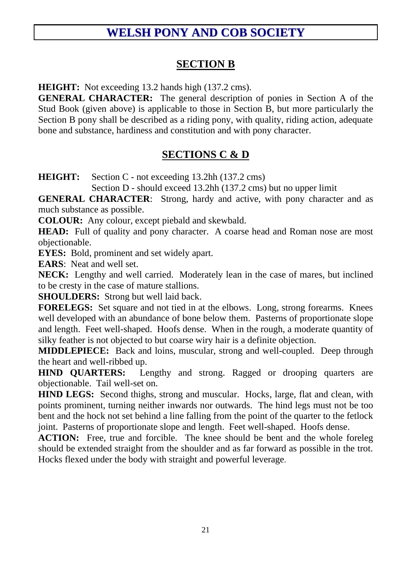### **SECTION B**

**HEIGHT:** Not exceeding 13.2 hands high (137.2 cms).

**GENERAL CHARACTER:** The general description of ponies in Section A of the Stud Book (given above) is applicable to those in Section B, but more particularly the Section B pony shall be described as a riding pony, with quality, riding action, adequate bone and substance, hardiness and constitution and with pony character.

### **SECTIONS C & D**

**HEIGHT:** Section C - not exceeding 13.2hh (137.2 cms)

Section D - should exceed 13.2hh (137.2 cms) but no upper limit

**GENERAL CHARACTER**: Strong, hardy and active, with pony character and as much substance as possible.

**COLOUR:** Any colour, except piebald and skewbald.

**HEAD:** Full of quality and pony character. A coarse head and Roman nose are most objectionable.

**EYES:** Bold, prominent and set widely apart.

**EARS**: Neat and well set.

**NECK:** Lengthy and well carried. Moderately lean in the case of mares, but inclined to be cresty in the case of mature stallions.

**SHOULDERS:** Strong but well laid back.

**FORELEGS:** Set square and not tied in at the elbows. Long, strong forearms. Knees well developed with an abundance of bone below them. Pasterns of proportionate slope and length. Feet well-shaped. Hoofs dense. When in the rough, a moderate quantity of silky feather is not objected to but coarse wiry hair is a definite objection.

**MIDDLEPIECE:** Back and loins, muscular, strong and well-coupled. Deep through the heart and well-ribbed up.

**HIND QUARTERS:** Lengthy and strong. Ragged or drooping quarters are objectionable. Tail well-set on.

**HIND LEGS:** Second thighs, strong and muscular. Hocks, large, flat and clean, with points prominent, turning neither inwards nor outwards. The hind legs must not be too bent and the hock not set behind a line falling from the point of the quarter to the fetlock joint. Pasterns of proportionate slope and length. Feet well-shaped. Hoofs dense.

**ACTION:** Free, true and forcible. The knee should be bent and the whole foreleg should be extended straight from the shoulder and as far forward as possible in the trot. Hocks flexed under the body with straight and powerful leverage.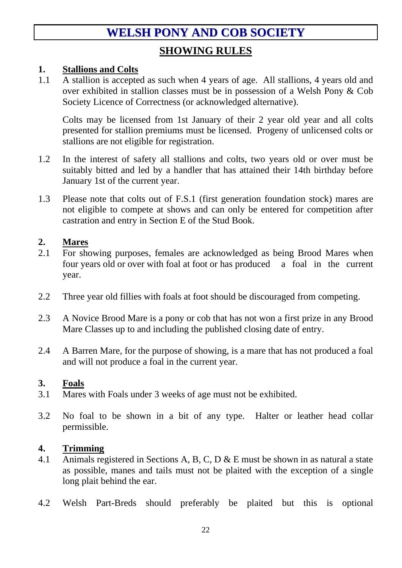### **SHOWING RULES**

### **1. Stallions and Colts**

1.1 A stallion is accepted as such when 4 years of age. All stallions, 4 years old and over exhibited in stallion classes must be in possession of a Welsh Pony & Cob Society Licence of Correctness (or acknowledged alternative).

Colts may be licensed from 1st January of their 2 year old year and all colts presented for stallion premiums must be licensed. Progeny of unlicensed colts or stallions are not eligible for registration.

- 1.2 In the interest of safety all stallions and colts, two years old or over must be suitably bitted and led by a handler that has attained their 14th birthday before January 1st of the current year.
- 1.3 Please note that colts out of F.S.1 (first generation foundation stock) mares are not eligible to compete at shows and can only be entered for competition after castration and entry in Section E of the Stud Book.

### **2. Mares**

- 2.1 For showing purposes, females are acknowledged as being Brood Mares when four years old or over with foal at foot or has produced a foal in the current year.
- 2.2 Three year old fillies with foals at foot should be discouraged from competing.
- 2.3 A Novice Brood Mare is a pony or cob that has not won a first prize in any Brood Mare Classes up to and including the published closing date of entry.
- 2.4 A Barren Mare, for the purpose of showing, is a mare that has not produced a foal and will not produce a foal in the current year.

### **3. Foals**

- 3.1 Mares with Foals under 3 weeks of age must not be exhibited.
- 3.2 No foal to be shown in a bit of any type. Halter or leather head collar permissible.

### **4. Trimming**

- 4.1 Animals registered in Sections A, B, C, D & E must be shown in as natural a state as possible, manes and tails must not be plaited with the exception of a single long plait behind the ear.
- 4.2 Welsh Part-Breds should preferably be plaited but this is optional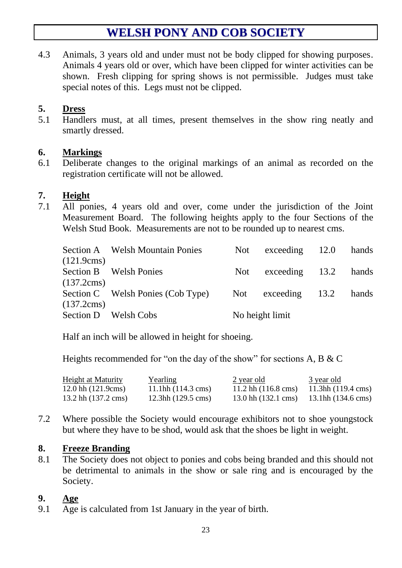4.3 Animals, 3 years old and under must not be body clipped for showing purposes. Animals 4 years old or over, which have been clipped for winter activities can be shown. Fresh clipping for spring shows is not permissible. Judges must take special notes of this. Legs must not be clipped.

### **5. Dress**

5.1 Handlers must, at all times, present themselves in the show ring neatly and smartly dressed.

### **6. Markings**

6.1 Deliberate changes to the original markings of an animal as recorded on the registration certificate will not be allowed.

### **7. Height**

7.1 All ponies, 4 years old and over, come under the jurisdiction of the Joint Measurement Board. The following heights apply to the four Sections of the Welsh Stud Book. Measurements are not to be rounded up to nearest cms.

| Section A Welsh Mountain Ponies |  |                 |                                                                                                                    |
|---------------------------------|--|-----------------|--------------------------------------------------------------------------------------------------------------------|
|                                 |  |                 |                                                                                                                    |
| <b>Section B</b> Welsh Ponies   |  |                 |                                                                                                                    |
|                                 |  |                 |                                                                                                                    |
|                                 |  |                 |                                                                                                                    |
|                                 |  |                 |                                                                                                                    |
| Section D Welsh Cobs            |  |                 |                                                                                                                    |
|                                 |  | No height limit | Not exceeding 12.0 hands<br>Not exceeding 13.2 hands<br>Section C Welsh Ponies (Cob Type) Not exceeding 13.2 hands |

Half an inch will be allowed in height for shoeing.

Heights recommended for "on the day of the show" for sections A, B & C

| <b>Height at Maturity</b>    | <u>Yearling</u>             | 2 year old                   | <u>3 year old</u>           |
|------------------------------|-----------------------------|------------------------------|-----------------------------|
| $12.0$ hh $(121.9cm)$        | 11.1hh $(114.3 \text{ cm})$ | 11.2 hh $(116.8 \text{ cm})$ | 11.3hh $(119.4 \text{ cm})$ |
| 13.2 hh $(137.2 \text{ cm})$ | 12.3hh $(129.5 \text{ cm})$ | 13.0 hh $(132.1 \text{ cm})$ | 13.1hh (134.6 cms)          |

7.2 Where possible the Society would encourage exhibitors not to shoe youngstock but where they have to be shod, would ask that the shoes be light in weight.

### **8. Freeze Branding**

8.1 The Society does not object to ponies and cobs being branded and this should not be detrimental to animals in the show or sale ring and is encouraged by the Society.

### **9. Age**

9.1 Age is calculated from 1st January in the year of birth.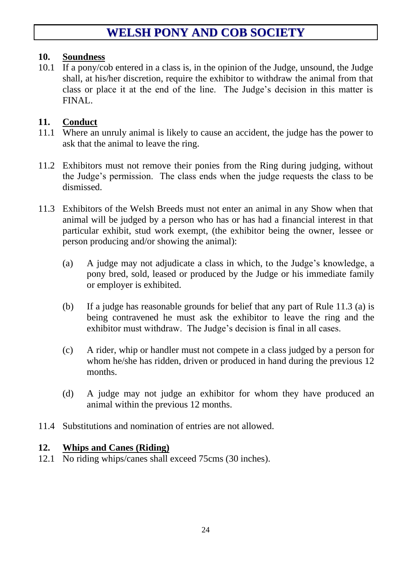#### **10. Soundness**

10.1 If a pony/cob entered in a class is, in the opinion of the Judge, unsound, the Judge shall, at his/her discretion, require the exhibitor to withdraw the animal from that class or place it at the end of the line. The Judge's decision in this matter is FINAL.

#### **11. Conduct**

- 11.1 Where an unruly animal is likely to cause an accident, the judge has the power to ask that the animal to leave the ring.
- 11.2 Exhibitors must not remove their ponies from the Ring during judging, without the Judge's permission. The class ends when the judge requests the class to be dismissed.
- 11.3 Exhibitors of the Welsh Breeds must not enter an animal in any Show when that animal will be judged by a person who has or has had a financial interest in that particular exhibit, stud work exempt, (the exhibitor being the owner, lessee or person producing and/or showing the animal):
	- (a) A judge may not adjudicate a class in which, to the Judge's knowledge, a pony bred, sold, leased or produced by the Judge or his immediate family or employer is exhibited.
	- (b) If a judge has reasonable grounds for belief that any part of Rule 11.3 (a) is being contravened he must ask the exhibitor to leave the ring and the exhibitor must withdraw. The Judge's decision is final in all cases.
	- (c) A rider, whip or handler must not compete in a class judged by a person for whom he/she has ridden, driven or produced in hand during the previous 12 months.
	- (d) A judge may not judge an exhibitor for whom they have produced an animal within the previous 12 months.
- 11.4 Substitutions and nomination of entries are not allowed.

#### **12. Whips and Canes (Riding)**

12.1 No riding whips/canes shall exceed 75cms (30 inches).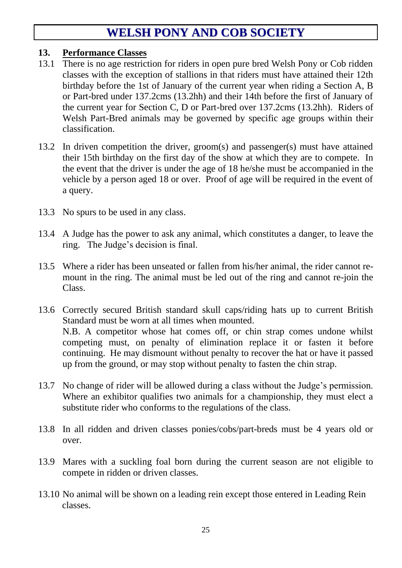#### **13. Performance Classes**

- 13.1 There is no age restriction for riders in open pure bred Welsh Pony or Cob ridden classes with the exception of stallions in that riders must have attained their 12th birthday before the 1st of January of the current year when riding a Section A, B or Part-bred under 137.2cms (13.2hh) and their 14th before the first of January of the current year for Section C, D or Part-bred over 137.2cms (13.2hh). Riders of Welsh Part-Bred animals may be governed by specific age groups within their classification.
- 13.2 In driven competition the driver, groom(s) and passenger(s) must have attained their 15th birthday on the first day of the show at which they are to compete. In the event that the driver is under the age of 18 he/she must be accompanied in the vehicle by a person aged 18 or over. Proof of age will be required in the event of a query.
- 13.3 No spurs to be used in any class.
- 13.4 A Judge has the power to ask any animal, which constitutes a danger, to leave the ring. The Judge's decision is final.
- 13.5 Where a rider has been unseated or fallen from his/her animal, the rider cannot remount in the ring. The animal must be led out of the ring and cannot re-join the Class.
- 13.6 Correctly secured British standard skull caps/riding hats up to current British Standard must be worn at all times when mounted. N.B. A competitor whose hat comes off, or chin strap comes undone whilst competing must, on penalty of elimination replace it or fasten it before continuing. He may dismount without penalty to recover the hat or have it passed up from the ground, or may stop without penalty to fasten the chin strap.
- 13.7 No change of rider will be allowed during a class without the Judge's permission. Where an exhibitor qualifies two animals for a championship, they must elect a substitute rider who conforms to the regulations of the class.
- 13.8 In all ridden and driven classes ponies/cobs/part-breds must be 4 years old or over.
- 13.9 Mares with a suckling foal born during the current season are not eligible to compete in ridden or driven classes.
- 13.10 No animal will be shown on a leading rein except those entered in Leading Rein classes.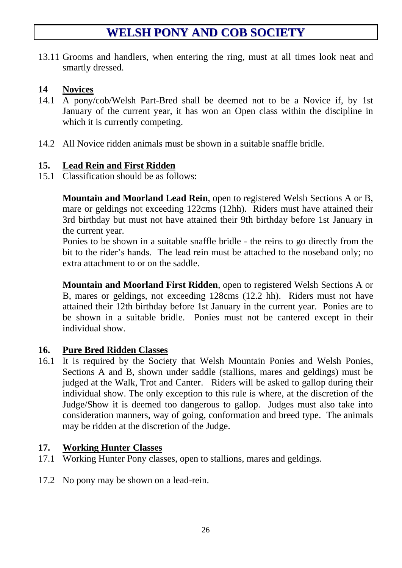13.11 Grooms and handlers, when entering the ring, must at all times look neat and smartly dressed.

#### **14 Novices**

- 14.1 A pony/cob/Welsh Part-Bred shall be deemed not to be a Novice if, by 1st January of the current year, it has won an Open class within the discipline in which it is currently competing.
- 14.2 All Novice ridden animals must be shown in a suitable snaffle bridle.

### **15. Lead Rein and First Ridden**

15.1 Classification should be as follows:

**Mountain and Moorland Lead Rein**, open to registered Welsh Sections A or B, mare or geldings not exceeding 122cms (12hh). Riders must have attained their 3rd birthday but must not have attained their 9th birthday before 1st January in the current year.

Ponies to be shown in a suitable snaffle bridle - the reins to go directly from the bit to the rider's hands. The lead rein must be attached to the noseband only; no extra attachment to or on the saddle.

**Mountain and Moorland First Ridden**, open to registered Welsh Sections A or B, mares or geldings, not exceeding 128cms (12.2 hh). Riders must not have attained their 12th birthday before 1st January in the current year. Ponies are to be shown in a suitable bridle. Ponies must not be cantered except in their individual show.

### **16. Pure Bred Ridden Classes**

16.1 It is required by the Society that Welsh Mountain Ponies and Welsh Ponies, Sections A and B, shown under saddle (stallions, mares and geldings) must be judged at the Walk, Trot and Canter. Riders will be asked to gallop during their individual show. The only exception to this rule is where, at the discretion of the Judge/Show it is deemed too dangerous to gallop. Judges must also take into consideration manners, way of going, conformation and breed type. The animals may be ridden at the discretion of the Judge.

### **17. Working Hunter Classes**

- 17.1 Working Hunter Pony classes, open to stallions, mares and geldings.
- 17.2 No pony may be shown on a lead-rein.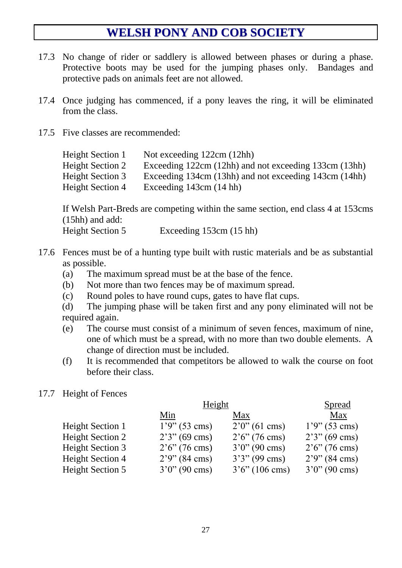- 17.3 No change of rider or saddlery is allowed between phases or during a phase. Protective boots may be used for the jumping phases only. Bandages and protective pads on animals feet are not allowed.
- 17.4 Once judging has commenced, if a pony leaves the ring, it will be eliminated from the class.
- 17.5 Five classes are recommended:

| Height Section 1 | Not exceeding 122cm (12hh)                            |
|------------------|-------------------------------------------------------|
| Height Section 2 | Exceeding 122cm (12hh) and not exceeding 133cm (13hh) |
| Height Section 3 | Exceeding 134cm (13hh) and not exceeding 143cm (14hh) |
| Height Section 4 | Exceeding $143cm(14 hh)$                              |

If Welsh Part-Breds are competing within the same section, end class 4 at 153cms (15hh) and add:

Height Section 5 Exceeding 153cm (15 hh)

- 17.6 Fences must be of a hunting type built with rustic materials and be as substantial as possible.
	- (a) The maximum spread must be at the base of the fence.
	- (b) Not more than two fences may be of maximum spread.
	- (c) Round poles to have round cups, gates to have flat cups.
	- (d) The jumping phase will be taken first and any pony eliminated will not be required again.
	- (e) The course must consist of a minimum of seven fences, maximum of nine, one of which must be a spread, with no more than two double elements. A change of direction must be included.
	- (f) It is recommended that competitors be allowed to walk the course on foot before their class.

#### 17.7 Height of Fences

| Height                   |                   | <b>Spread</b>            |
|--------------------------|-------------------|--------------------------|
| Min                      | Max               | <b>Max</b>               |
| $1'9''(53 \text{ cms})$  | $2'0''$ (61 cms)  | $1'9''(53 \text{ cms})$  |
| $2'3''$ (69 cms)         | $2'6''$ (76 cms)  | $2'3''$ (69 cms)         |
| $2'6''$ (76 cms)         | $3'0''$ (90 cms)  | $2'6''$ (76 cms)         |
| $2'9'' (84 \text{ cms})$ | $3'3''$ (99 cms)  | $2'9'' (84 \text{ cms})$ |
| $3'0''$ (90 cms)         | $3'6''$ (106 cms) | $3'0''$ (90 cms)         |
|                          |                   |                          |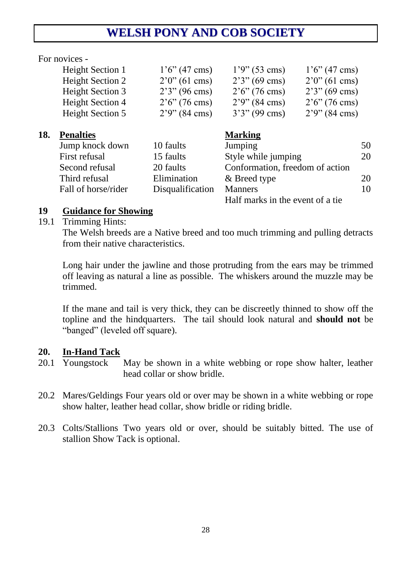#### For novices -

| Height Section 1 | $1'6''$ (47 cms) | $1'9''(53 \text{ cms})$ | $1'6''$ (47 cms) |
|------------------|------------------|-------------------------|------------------|
| Height Section 2 | $2'0''$ (61 cms) | $2'3''(69 \text{ cm})$  | $2'0''$ (61 cms) |
| Height Section 3 | $2'3''$ (96 cms) | $2'6''$ (76 cms)        | $2'3''$ (69 cms) |
| Height Section 4 | $2'6''$ (76 cms) | $2'9''$ (84 cms)        | $2'6''$ (76 cms) |
| Height Section 5 | $2'9''$ (84 cms) | $3'3''$ (99 cms)        | $2'9''$ (84 cms) |

#### **18. Penalties Marking**

Jump knock down 10 faults First refusal 15 faults Second refusal 20 faults Third refusal **Elimination** Fall of horse/rider Disqualification Distribution Manners 10

|      | Jumping                          | 50 |
|------|----------------------------------|----|
|      | Style while jumping              | 20 |
|      | Conformation, freedom of action  |    |
|      | & Breed type                     | 20 |
| tion | <b>Manners</b>                   | 10 |
|      | Half marks in the event of a tie |    |
|      |                                  |    |

### **19 Guidance for Showing**

#### 19.1 Trimming Hints:

The Welsh breeds are a Native breed and too much trimming and pulling detracts from their native characteristics.

Long hair under the jawline and those protruding from the ears may be trimmed off leaving as natural a line as possible. The whiskers around the muzzle may be trimmed.

If the mane and tail is very thick, they can be discreetly thinned to show off the topline and the hindquarters. The tail should look natural and **should not** be "banged" (leveled off square).

### **20. In-Hand Tack**

- 20.1 Youngstock May be shown in a white webbing or rope show halter, leather head collar or show bridle.
- 20.2 Mares/Geldings Four years old or over may be shown in a white webbing or rope show halter, leather head collar, show bridle or riding bridle.
- 20.3 Colts/Stallions Two years old or over, should be suitably bitted. The use of stallion Show Tack is optional.